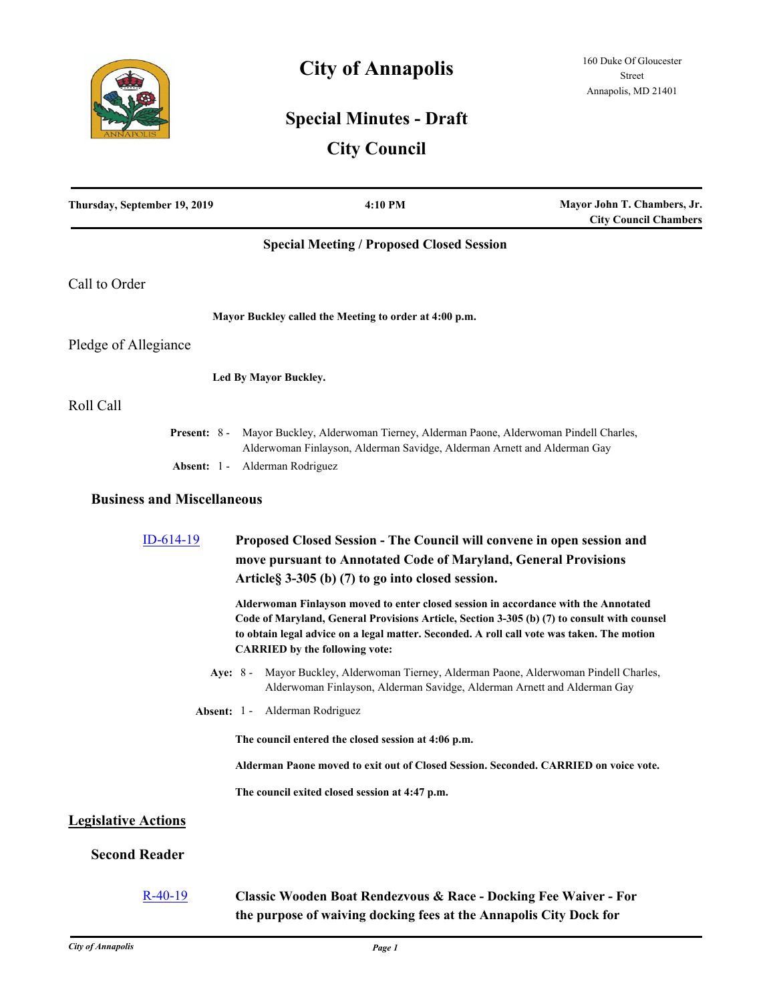

# **City of Annapolis**

## **Special Minutes - Draft**

## **City Council**

| Thursday, September 19, 2019      | 4:10 PM                                                                                                                                                                                                                                                                                                                   | Mayor John T. Chambers, Jr.<br><b>City Council Chambers</b> |
|-----------------------------------|---------------------------------------------------------------------------------------------------------------------------------------------------------------------------------------------------------------------------------------------------------------------------------------------------------------------------|-------------------------------------------------------------|
|                                   | <b>Special Meeting / Proposed Closed Session</b>                                                                                                                                                                                                                                                                          |                                                             |
| Call to Order                     |                                                                                                                                                                                                                                                                                                                           |                                                             |
|                                   | Mayor Buckley called the Meeting to order at 4:00 p.m.                                                                                                                                                                                                                                                                    |                                                             |
| Pledge of Allegiance              |                                                                                                                                                                                                                                                                                                                           |                                                             |
|                                   | Led By Mayor Buckley.                                                                                                                                                                                                                                                                                                     |                                                             |
| Roll Call                         |                                                                                                                                                                                                                                                                                                                           |                                                             |
| <b>Present:</b> $8 -$             | Mayor Buckley, Alderwoman Tierney, Alderman Paone, Alderwoman Pindell Charles,<br>Alderwoman Finlayson, Alderman Savidge, Alderman Arnett and Alderman Gay                                                                                                                                                                |                                                             |
| Absent: 1 -                       | Alderman Rodriguez                                                                                                                                                                                                                                                                                                        |                                                             |
| <b>Business and Miscellaneous</b> |                                                                                                                                                                                                                                                                                                                           |                                                             |
| $ID-614-19$                       | Proposed Closed Session - The Council will convene in open session and<br>move pursuant to Annotated Code of Maryland, General Provisions<br>Article § 3-305 (b) (7) to go into closed session.                                                                                                                           |                                                             |
|                                   | Alderwoman Finlayson moved to enter closed session in accordance with the Annotated<br>Code of Maryland, General Provisions Article, Section 3-305 (b) (7) to consult with counsel<br>to obtain legal advice on a legal matter. Seconded. A roll call vote was taken. The motion<br><b>CARRIED</b> by the following vote: |                                                             |
| Aye: $8 -$                        | Mayor Buckley, Alderwoman Tierney, Alderman Paone, Alderwoman Pindell Charles,<br>Alderwoman Finlayson, Alderman Savidge, Alderman Arnett and Alderman Gay                                                                                                                                                                |                                                             |
| Absent: $1 -$                     | Alderman Rodriguez                                                                                                                                                                                                                                                                                                        |                                                             |
|                                   | The council entered the closed session at 4:06 p.m.                                                                                                                                                                                                                                                                       |                                                             |
|                                   | Alderman Paone moved to exit out of Closed Session. Seconded. CARRIED on voice vote.                                                                                                                                                                                                                                      |                                                             |
|                                   | The council exited closed session at 4:47 p.m.                                                                                                                                                                                                                                                                            |                                                             |
| <b>Legislative Actions</b>        |                                                                                                                                                                                                                                                                                                                           |                                                             |
| <b>Second Reader</b>              |                                                                                                                                                                                                                                                                                                                           |                                                             |
| $R-40-19$                         | <b>Classic Wooden Boat Rendezvous &amp; Race - Docking Fee Waiver - For</b><br>the purpose of waiving docking fees at the Annapolis City Dock for                                                                                                                                                                         |                                                             |